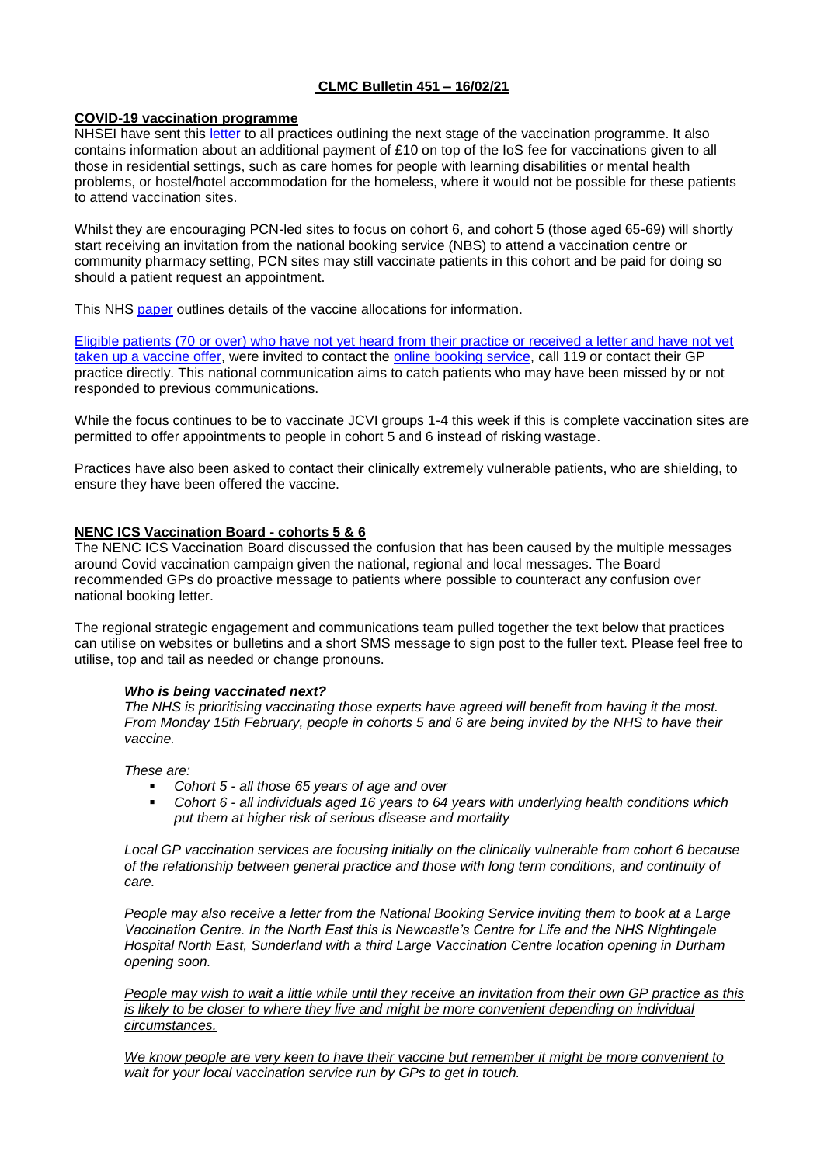# **CLMC Bulletin 451 – 16/02/21**

## **COVID-19 vaccination programme**

NHSEI have sent this [letter](https://www.clevelandlmc.org.uk/website/IGP367/files/c11.pdf) to all practices outlining the next stage of the vaccination programme. It also contains information about an additional payment of £10 on top of the IoS fee for vaccinations given to all those in residential settings, such as care homes for people with learning disabilities or mental health problems, or hostel/hotel accommodation for the homeless, where it would not be possible for these patients to attend vaccination sites.

Whilst they are encouraging PCN-led sites to focus on cohort 6, and cohort 5 (those aged 65-69) will shortly start receiving an invitation from the national booking service (NBS) to attend a vaccination centre or community pharmacy setting, PCN sites may still vaccinate patients in this cohort and be paid for doing so should a patient request an appointment.

This NHS [paper](https://www.clevelandlmc.org.uk/website/IGP367/files/everything.pdf) outlines details of the vaccine allocations for information.

Eligible patients (70 or over) who have not yet heard [from their practice or received a letter and have not yet](https://www.england.nhs.uk/2021/02/call-for-people-aged-70-and-over-to-contact-nhs-for-a-covid-jab/)  [taken up a vaccine offer,](https://www.england.nhs.uk/2021/02/call-for-people-aged-70-and-over-to-contact-nhs-for-a-covid-jab/) were invited to contact the [online booking service,](https://www.nhs.uk/conditions/coronavirus-covid-19/coronavirus-vaccination/) call 119 or contact their GP practice directly. This national communication aims to catch patients who may have been missed by or not responded to previous communications.

While the focus continues to be to vaccinate JCVI groups 1-4 this week if this is complete vaccination sites are permitted to offer appointments to people in cohort 5 and 6 instead of risking wastage.

Practices have also been asked to contact their clinically extremely vulnerable patients, who are shielding, to ensure they have been offered the vaccine.

## **NENC ICS Vaccination Board - cohorts 5 & 6**

The NENC ICS Vaccination Board discussed the confusion that has been caused by the multiple messages around Covid vaccination campaign given the national, regional and local messages. The Board recommended GPs do proactive message to patients where possible to counteract any confusion over national booking letter.

The regional strategic engagement and communications team pulled together the text below that practices can utilise on websites or bulletins and a short SMS message to sign post to the fuller text. Please feel free to utilise, top and tail as needed or change pronouns.

## *Who is being vaccinated next?*

*The NHS is prioritising vaccinating those experts have agreed will benefit from having it the most. From Monday 15th February, people in cohorts 5 and 6 are being invited by the NHS to have their vaccine.*

*These are:*

- *Cohort 5 - all those 65 years of age and over*
- *Cohort 6 - all individuals aged 16 years to 64 years with underlying health conditions which put them at higher risk of serious disease and mortality*

*Local GP vaccination services are focusing initially on the clinically vulnerable from cohort 6 because of the relationship between general practice and those with long term conditions, and continuity of care.*

*People may also receive a letter from the National Booking Service inviting them to book at a Large Vaccination Centre. In the North East this is Newcastle's Centre for Life and the NHS Nightingale Hospital North East, Sunderland with a third Large Vaccination Centre location opening in Durham opening soon.*

*People may wish to wait a little while until they receive an invitation from their own GP practice as this is likely to be closer to where they live and might be more convenient depending on individual circumstances.*

*We know people are very keen to have their vaccine but remember it might be more convenient to wait for your local vaccination service run by GPs to get in touch.*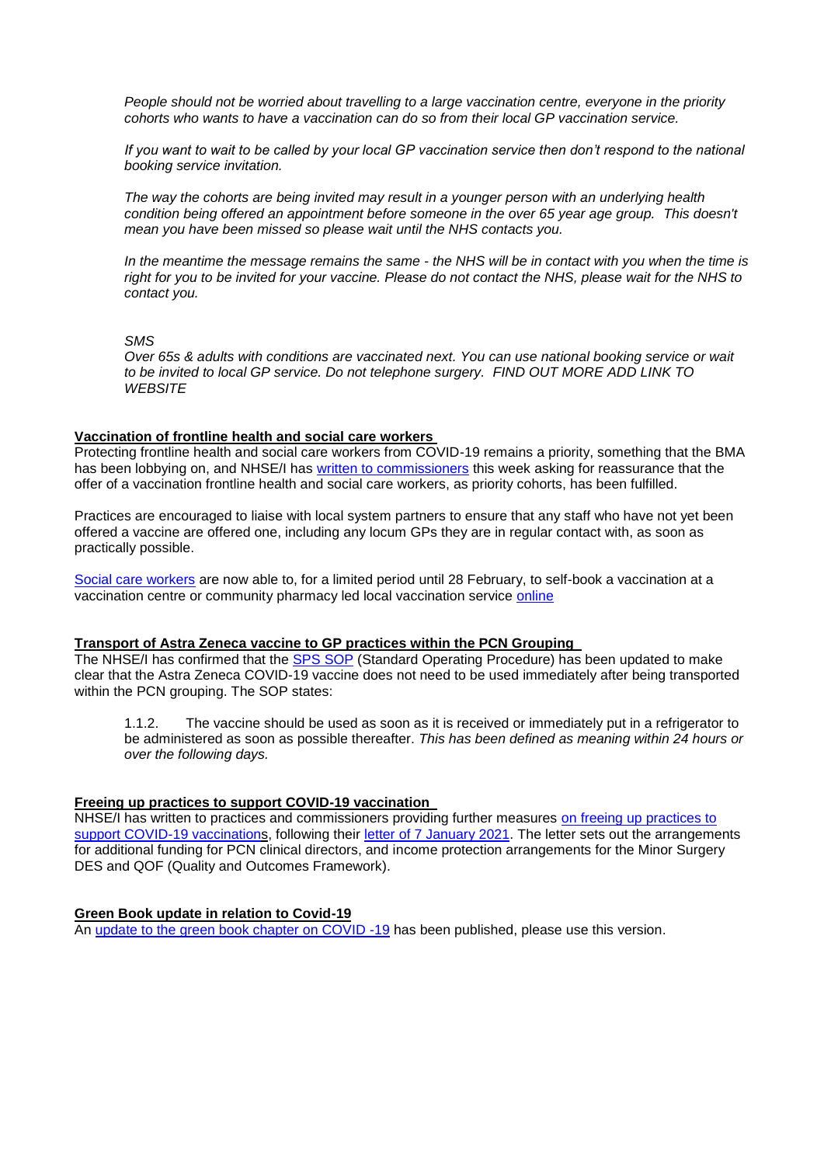*People should not be worried about travelling to a large vaccination centre, everyone in the priority cohorts who wants to have a vaccination can do so from their local GP vaccination service.*

*If you want to wait to be called by your local GP vaccination service then don't respond to the national booking service invitation.*

*The way the cohorts are being invited may result in a younger person with an underlying health condition being offered an appointment before someone in the over 65 year age group. This doesn't mean you have been missed so please wait until the NHS contacts you.*

*In the meantime the message remains the same - the NHS will be in contact with you when the time is right for you to be invited for your vaccine. Please do not contact the NHS, please wait for the NHS to contact you.*

## *SMS*

*Over 65s & adults with conditions are vaccinated next. You can use national booking service or wait to be invited to local GP service. Do not telephone surgery. FIND OUT MORE ADD LINK TO WEBSITE*

## **Vaccination of frontline health and social care workers**

Protecting frontline health and social care workers from COVID-19 remains a priority, something that the BMA has been lobbying on, and NHSE/I has [written to commissioners](https://www.england.nhs.uk/coronavirus/publication/assurance-of-covid-19-vaccination-offer-for-all-eligible-health-and-social-care-workers/) this week asking for reassurance that the offer of a vaccination frontline health and social care workers, as priority cohorts, has been fulfilled.

Practices are encouraged to liaise with local system partners to ensure that any staff who have not yet been offered a vaccine are offered one, including any locum GPs they are in regular contact with, as soon as practically possible.

[Social care workers](https://www.england.nhs.uk/coronavirus/wp-content/uploads/sites/52/2021/01/C1125-Self-referral-for-social-care-worker-vaccination-11-February-2021.pdf) are now able to, for a limited period until 28 February, to self-book a vaccination at a vaccination centre or community pharmacy led local vaccination service [online](http://www.nhs.uk/covid-vaccination.)

## **Transport of Astra Zeneca vaccine to GP practices within the PCN Grouping**

The NHSE/I has confirmed that the [SPS SOP](https://www.sps.nhs.uk/articles/transporting-the-astrazeneca-covid-19-vaccine-from-pcn-designated-sites-to-end-user-locations-patients-homes-and-within-the-pcn-grouping/) (Standard Operating Procedure) has been updated to make clear that the Astra Zeneca COVID-19 vaccine does not need to be used immediately after being transported within the PCN grouping. The SOP states:

1.1.2. The vaccine should be used as soon as it is received or immediately put in a refrigerator to be administered as soon as possible thereafter. *This has been defined as meaning within 24 hours or over the following days.*

## **Freeing up practices to support COVID-19 vaccination**

NHSE/I has written to practices and commissioners providing further measures [on freeing up practices to](https://www.england.nhs.uk/coronavirus/wp-content/uploads/sites/52/2020/03/C1050-freeing-up-practices-to-support-covid-vaccination-further-details-3-feb-21.pdf)  [support COVID-19 vaccinations](https://www.england.nhs.uk/coronavirus/wp-content/uploads/sites/52/2020/03/C1050-freeing-up-practices-to-support-covid-vaccination-further-details-3-feb-21.pdf), following their [letter of 7 January 2021.](https://www.england.nhs.uk/coronavirus/wp-content/uploads/sites/52/2020/03/C1026_Freeing-up-GP-practices-letter_070121.pdf) The letter sets out the arrangements for additional funding for PCN clinical directors, and income protection arrangements for the Minor Surgery DES and QOF (Quality and Outcomes Framework).

## **Green Book update in relation to Covid-19**

An [update to the green book chapter on COVID -19](https://assets.publishing.service.gov.uk/government/uploads/system/uploads/attachment_data/file/961287/Greenbook_chapter_14a_v7_12Feb2021.pdf) has been published, please use this version.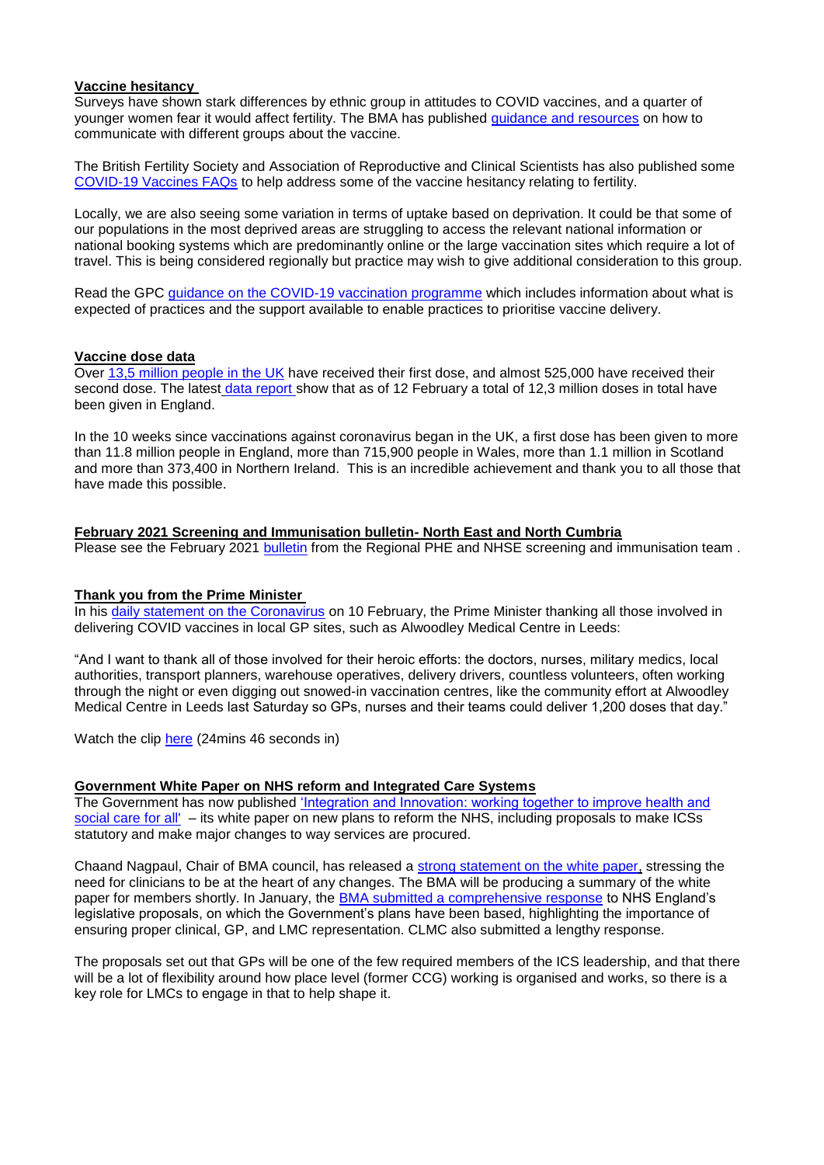## **Vaccine hesitancy**

Surveys have shown stark differences by ethnic group in attitudes to COVID vaccines, and a quarter of younger women fear it would affect fertility. The BMA has published [guidance and resources](https://www.bma.org.uk/advice-and-support/covid-19/vaccines/covid-19-how-to-communicate-with-different-groups-about-the-vaccine) on how to communicate with different groups about the vaccine.

The British Fertility Society and Association of Reproductive and Clinical Scientists has also published some [COVID-19 Vaccines FAQs](https://www.arcscientists.org/wp-content/uploads/2021/02/Covid19-Vaccines-FAQ-1_2-logos-1.pdf) to help address some of the vaccine hesitancy relating to fertility.

Locally, we are also seeing some variation in terms of uptake based on deprivation. It could be that some of our populations in the most deprived areas are struggling to access the relevant national information or national booking systems which are predominantly online or the large vaccination sites which require a lot of travel. This is being considered regionally but practice may wish to give additional consideration to this group.

Read the GPC [guidance on the COVID-19 vaccination programme](https://www.bma.org.uk/advice-and-support/covid-19/gp-practices/covid-19-vaccination-programme) which includes information about what is expected of practices and the support available to enable practices to prioritise vaccine delivery.

## **Vaccine dose data**

Over [13,5 million people in the UK](https://coronavirus.data.gov.uk/details/vaccinations) have received their first dose, and almost 525,000 have received their second dose. The latest [data report s](https://www.england.nhs.uk/statistics/statistical-work-areas/covid-19-vaccinations/)how that as of 12 February a total of 12.3 million doses in total have been given in England.

In the 10 weeks since vaccinations against coronavirus began in the UK, a first dose has been given to more than 11.8 million people in England, more than 715,900 people in Wales, more than 1.1 million in Scotland and more than 373,400 in Northern Ireland. This is an incredible achievement and thank you to all those that have made this possible.

## **February 2021 Screening and Immunisation bulletin- North East and North Cumbria**

Please see the February 2021 [bulletin](https://www.clevelandlmc.org.uk/website/IGP367/files/bulletin.pdf) from the Regional PHE and NHSE screening and immunisation team .

## **Thank you from the Prime Minister**

In his [daily statement on the Coronavirus](https://www.gov.uk/government/speeches/prime-ministers-statement-on-coronavirus-covid-19-10-february-2021) on 10 February, the Prime Minister thanking all those involved in delivering COVID vaccines in local GP sites, such as Alwoodley Medical Centre in Leeds:

"And I want to thank all of those involved for their heroic efforts: the doctors, nurses, military medics, local authorities, transport planners, warehouse operatives, delivery drivers, countless volunteers, often working through the night or even digging out snowed-in vaccination centres, like the community effort at Alwoodley Medical Centre in Leeds last Saturday so GPs, nurses and their teams could deliver 1,200 doses that day."

Watch the clip [here](http://www.bbc.co.uk/iplayer/episode/m000sl83) (24mins 46 seconds in)

## **Government White Paper on NHS reform and Integrated Care Systems**

The Government has now published 'Integration and Innovation: working together to improve health and [social care for all'](https://assets.publishing.service.gov.uk/government/uploads/system/uploads/attachment_data/file/960549/integration-and-innovation-working-together-to-improve-health-and-social-care-for-all-print-version.pdf) – its white paper on new plans to reform the NHS, including proposals to make ICSs statutory and make major changes to way services are procured.

Chaand Nagpaul, Chair of BMA council, has released a [strong statement on the white paper,](https://bma-mail.org.uk/t/JVX-78MVD-JCJOU4-4CJ2R1-1/c.aspx) stressing the need for clinicians to be at the heart of any changes. The BMA will be producing a summary of the white paper for members shortly. In January, the [BMA submitted a comprehensive response](https://bma-mail.org.uk/t/JVX-78MVD-JCJOU4-4CJ2R0-1/c.aspx) to NHS England's legislative proposals, on which the Government's plans have been based, highlighting the importance of ensuring proper clinical, GP, and LMC representation. CLMC also submitted a lengthy response.

The proposals set out that GPs will be one of the few required members of the ICS leadership, and that there will be a lot of flexibility around how place level (former CCG) working is organised and works, so there is a key role for LMCs to engage in that to help shape it.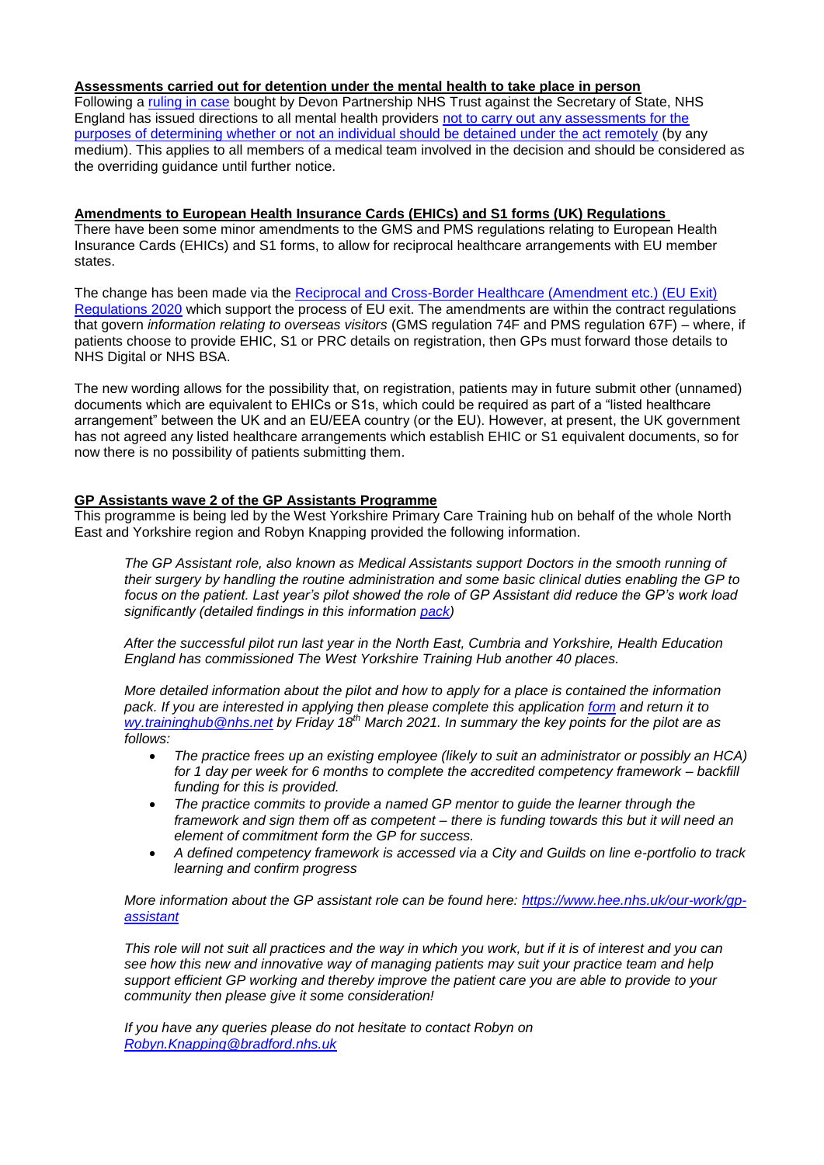## **Assessments carried out for detention under the mental health to take place in person**

Following a [ruling in case](https://www.bailii.org/ew/cases/EWHC/Admin/2021/101.html) bought by Devon Partnership NHS Trust against the Secretary of State. NHS England has issued directions to all mental health providers not to carry out any assessments for the [purposes of determining whether or not an individual should be detained under the act remotely](https://www.dacbeachcroft.com/en/gb/articles/2021/january/remote-mental-health-act-assessments-to-stop-with-immediate-effect/) (by any medium). This applies to all members of a medical team involved in the decision and should be considered as the overriding guidance until further notice.

**Amendments to European Health Insurance Cards (EHICs) and S1 forms (UK) Regulations** There have been some minor amendments to the GMS and PMS regulations relating to European Health Insurance Cards (EHICs) and S1 forms, to allow for reciprocal healthcare arrangements with EU member states.

The change has been made via the [Reciprocal and Cross-Border Healthcare \(Amendment etc.\) \(EU Exit\)](https://www.legislation.gov.uk/uksi/2020/1348/made)  [Regulations 2020](https://www.legislation.gov.uk/uksi/2020/1348/made) which support the process of EU exit. The amendments are within the contract regulations that govern *information relating to overseas visitors* (GMS regulation 74F and PMS regulation 67F) – where, if patients choose to provide EHIC, S1 or PRC details on registration, then GPs must forward those details to NHS Digital or NHS BSA.

The new wording allows for the possibility that, on registration, patients may in future submit other (unnamed) documents which are equivalent to EHICs or S1s, which could be required as part of a "listed healthcare arrangement" between the UK and an EU/EEA country (or the EU). However, at present, the UK government has not agreed any listed healthcare arrangements which establish EHIC or S1 equivalent documents, so for now there is no possibility of patients submitting them.

## **GP Assistants wave 2 of the GP Assistants Programme**

This programme is being led by the West Yorkshire Primary Care Training hub on behalf of the whole North East and Yorkshire region and Robyn Knapping provided the following information.

*The GP Assistant role, also known as Medical Assistants support Doctors in the smooth running of their surgery by handling the routine administration and some basic clinical duties enabling the GP to focus on the patient. Last year's pilot showed the role of GP Assistant did reduce the GP's work load significantly (detailed findings in this information [pack\)](https://www.clevelandlmc.org.uk/website/IGP367/files/GPA%20presentatin.pptx)*

*After the successful pilot run last year in the North East, Cumbria and Yorkshire, Health Education England has commissioned The West Yorkshire Training Hub another 40 places.* 

*More detailed information about the pilot and how to apply for a place is contained the information pack. If you are interested in applying then please complete this application [form](https://www.clevelandlmc.org.uk/website/IGP367/files/gpa.doc) and return it to [wy.traininghub@nhs.net](mailto:wy.traininghub@nhs.net) by Friday 18th March 2021. In summary the key points for the pilot are as follows:*

- *The practice frees up an existing employee (likely to suit an administrator or possibly an HCA) for 1 day per week for 6 months to complete the accredited competency framework – backfill funding for this is provided.*
- *The practice commits to provide a named GP mentor to guide the learner through the framework and sign them off as competent – there is funding towards this but it will need an element of commitment form the GP for success.*
- *A defined competency framework is accessed via a City and Guilds on line e-portfolio to track learning and confirm progress*

*More information about the GP assistant role can be found here: [https://www.hee.nhs.uk/our-work/gp](https://www.hee.nhs.uk/our-work/gp-assistant)[assistant](https://www.hee.nhs.uk/our-work/gp-assistant)*

*This role will not suit all practices and the way in which you work, but if it is of interest and you can see how this new and innovative way of managing patients may suit your practice team and help support efficient GP working and thereby improve the patient care you are able to provide to your community then please give it some consideration!*

*If you have any queries please do not hesitate to contact Robyn on [Robyn.Knapping@bradford.nhs.uk](mailto:Robyn.Knapping@bradford.nhs.uk)*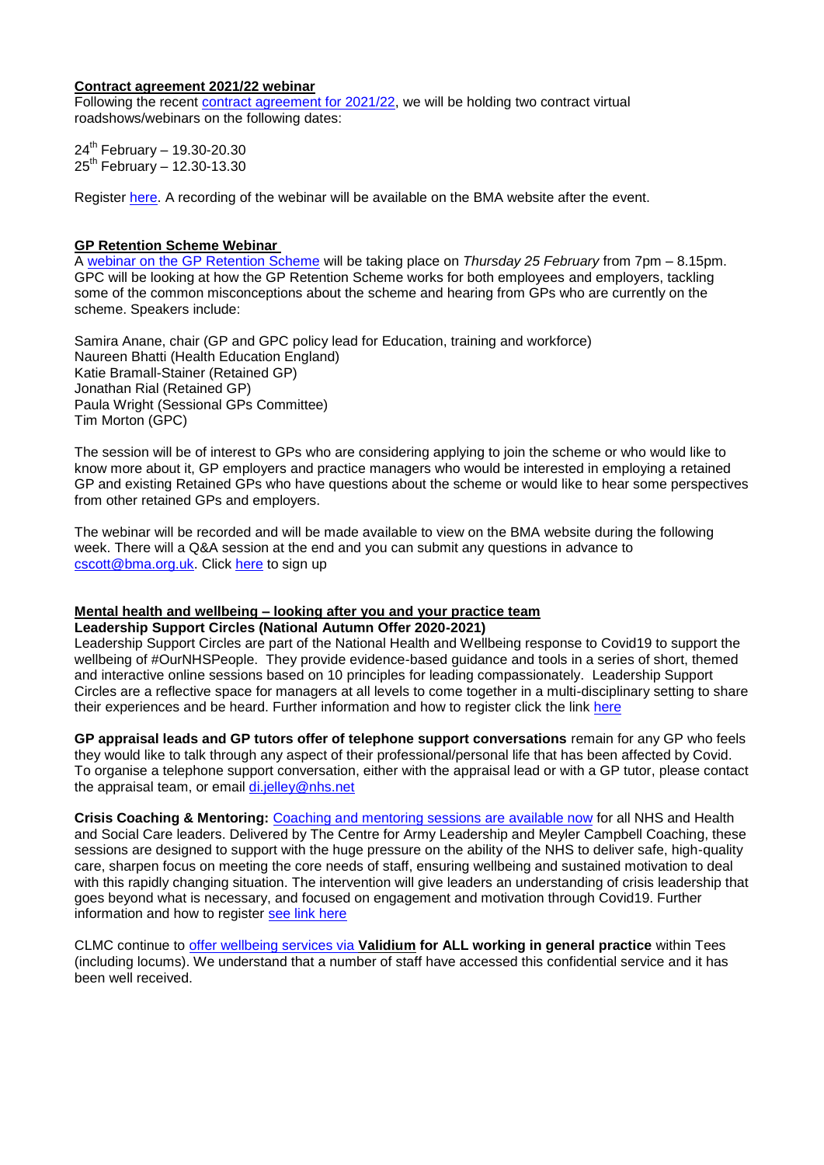## **Contract agreement 2021/22 webinar**

Following the recent [contract agreement for 2021/22,](https://www.bma.org.uk/pay-and-contracts/contracts/gp-contract/gp-contract-england-20212022) we will be holding two contract virtual roadshows/webinars on the following dates:

 $24^{th}$  February - 19.30-20.30  $25^{th}$  February – 12.30-13.30

Register [here.](https://register.gotowebinar.com/rt/5527732449379810573) A recording of the webinar will be available on the BMA website after the event.

# **GP Retention Scheme Webinar**

A [webinar on the GP Retention Scheme](https://www.bma.org.uk/events/gp-retention-scheme-webinar) will be taking place on *Thursday 25 February* from 7pm – 8.15pm. GPC will be looking at how the GP Retention Scheme works for both employees and employers, tackling some of the common misconceptions about the scheme and hearing from GPs who are currently on the scheme. Speakers include:

Samira Anane, chair (GP and GPC policy lead for Education, training and workforce) Naureen Bhatti (Health Education England) Katie Bramall-Stainer (Retained GP) Jonathan Rial (Retained GP) Paula Wright (Sessional GPs Committee) Tim Morton (GPC)

The session will be of interest to GPs who are considering applying to join the scheme or who would like to know more about it, GP employers and practice managers who would be interested in employing a retained GP and existing Retained GPs who have questions about the scheme or would like to hear some perspectives from other retained GPs and employers.

The webinar will be recorded and will be made available to view on the BMA website during the following week. There will a Q&A session at the end and you can submit any questions in advance to [cscott@bma.org.uk.](mailto:cscott@bma.org.uk) Click [here](https://attendee.gotowebinar.com/register/260773784388124176) to sign up

#### **Mental health and wellbeing – looking after you and your practice team Leadership Support Circles (National Autumn Offer 2020-2021)**

Leadership Support Circles are part of the National Health and Wellbeing response to Covid19 to support the wellbeing of #OurNHSPeople. They provide evidence-based guidance and tools in a series of short, themed and interactive online sessions based on 10 principles for leading compassionately. Leadership Support Circles are a reflective space for managers at all levels to come together in a multi-disciplinary setting to share their experiences and be heard. Further information and how to register click the link [here](https://people.nhs.uk/event/leadership-circles-autumn-series/)

**GP appraisal leads and GP tutors offer of telephone support conversations** remain for any GP who feels they would like to talk through any aspect of their professional/personal life that has been affected by Covid. To organise a telephone support conversation, either with the appraisal lead or with a GP tutor, please contact the appraisal team, or email [di.jelley@nhs.net](mailto:di.jelley@nhs.net)

**Crisis Coaching & Mentoring:** [Coaching and mentoring sessions are available now](https://nhs.us5.list-manage.com/track/click?u=2bb00c8eecef5a74724810a2d&id=5697e08ec5&e=1f76f620d3) for all NHS and Health and Social Care leaders. Delivered by The Centre for Army Leadership and Meyler Campbell Coaching, these sessions are designed to support with the huge pressure on the ability of the NHS to deliver safe, high-quality care, sharpen focus on meeting the core needs of staff, ensuring wellbeing and sustained motivation to deal with this rapidly changing situation. The intervention will give leaders an understanding of crisis leadership that goes beyond what is necessary, and focused on engagement and motivation through Covid19. Further information and how to register [see link here](https://people.nhs.uk/support-for-leaders/coaching-and-mentoring-for-leaders/)

CLMC continue to [offer wellbeing services via](https://www.clevelandlmc.org.uk/page1.aspx?p=20&t=2) **Validium for ALL working in general practice** within Tees (including locums). We understand that a number of staff have accessed this confidential service and it has been well received.